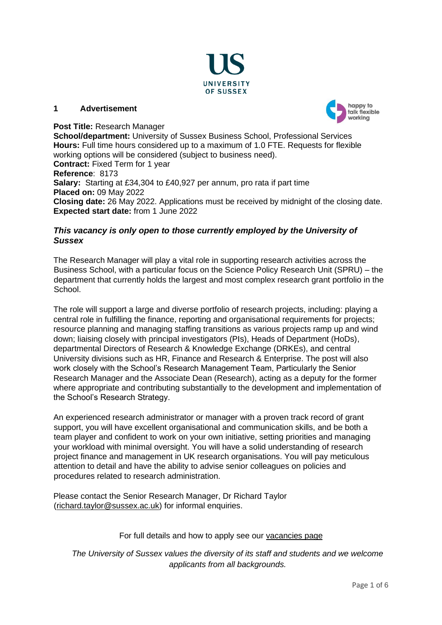

#### **1 Advertisement**



# **Post Title:** Research Manager

**School/department:** University of Sussex Business School, Professional Services **Hours:** Full time hours considered up to a maximum of 1.0 FTE. Requests for flexible working options will be considered (subject to business need). **Contract:** Fixed Term for 1 year **Reference**: 8173 **Salary:** Starting at £34,304 to £40,927 per annum, pro rata if part time **Placed on:** 09 May 2022 **Closing date:** 26 May 2022. Applications must be received by midnight of the closing date. **Expected start date:** from 1 June 2022

# *This vacancy is only open to those currently employed by the University of Sussex*

The Research Manager will play a vital role in supporting research activities across the Business School, with a particular focus on the Science Policy Research Unit (SPRU) – the department that currently holds the largest and most complex research grant portfolio in the School.

The role will support a large and diverse portfolio of research projects, including: playing a central role in fulfilling the finance, reporting and organisational requirements for projects; resource planning and managing staffing transitions as various projects ramp up and wind down; liaising closely with principal investigators (PIs), Heads of Department (HoDs), departmental Directors of Research & Knowledge Exchange (DRKEs), and central University divisions such as HR, Finance and Research & Enterprise. The post will also work closely with the School's Research Management Team, Particularly the Senior Research Manager and the Associate Dean (Research), acting as a deputy for the former where appropriate and contributing substantially to the development and implementation of the School's Research Strategy.

An experienced research administrator or manager with a proven track record of grant support, you will have excellent organisational and communication skills, and be both a team player and confident to work on your own initiative, setting priorities and managing your workload with minimal oversight. You will have a solid understanding of research project finance and management in UK research organisations. You will pay meticulous attention to detail and have the ability to advise senior colleagues on policies and procedures related to research administration.

Please contact the Senior Research Manager, Dr Richard Taylor [\(richard.taylor@sussex.ac.uk\)](mailto:richard.taylor@sussex.ac.uk) for informal enquiries.

# For full details and how to apply see our [vacancies page](https://www.sussex.ac.uk/about/jobs)

*The University of Sussex values the diversity of its staff and students and we welcome applicants from all backgrounds.*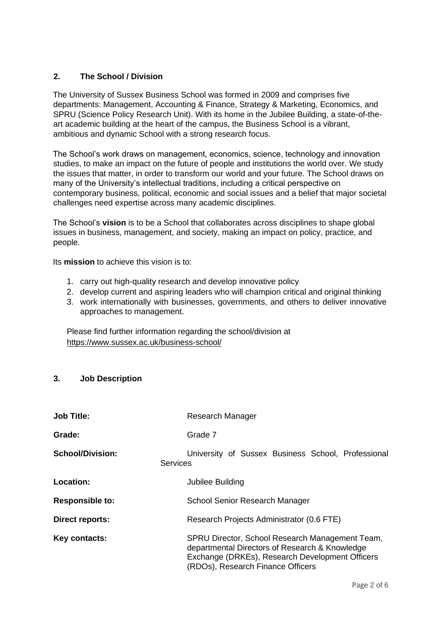# **2. The School / Division**

The University of Sussex Business School was formed in 2009 and comprises five departments: Management, Accounting & Finance, Strategy & Marketing, Economics, and SPRU (Science Policy Research Unit). With its home in the Jubilee Building, a state-of-theart academic building at the heart of the campus, the Business School is a vibrant, ambitious and dynamic School with a strong research focus.

The School's work draws on management, economics, science, technology and innovation studies, to make an impact on the future of people and institutions the world over. We study the issues that matter, in order to transform our world and your future. The School draws on many of the University's intellectual traditions, including a critical perspective on contemporary business, political, economic and social issues and a belief that major societal challenges need expertise across many academic disciplines.

The School's **vision** is to be a School that collaborates across disciplines to shape global issues in business, management, and society, making an impact on policy, practice, and people.

Its **mission** to achieve this vision is to:

- 1. carry out high-quality research and develop innovative policy
- 2. develop current and aspiring leaders who will champion critical and original thinking
- 3. work internationally with businesses, governments, and others to deliver innovative approaches to management.

Please find further information regarding the school/division at <https://www.sussex.ac.uk/business-school/>

# **3. Job Description**

| <b>Job Title:</b>       | Research Manager                                                                                                                                                                          |
|-------------------------|-------------------------------------------------------------------------------------------------------------------------------------------------------------------------------------------|
| Grade:                  | Grade 7                                                                                                                                                                                   |
| <b>School/Division:</b> | University of Sussex Business School, Professional<br><b>Services</b>                                                                                                                     |
| Location:               | Jubilee Building                                                                                                                                                                          |
| <b>Responsible to:</b>  | School Senior Research Manager                                                                                                                                                            |
| Direct reports:         | Research Projects Administrator (0.6 FTE)                                                                                                                                                 |
| Key contacts:           | SPRU Director, School Research Management Team,<br>departmental Directors of Research & Knowledge<br>Exchange (DRKEs), Research Development Officers<br>(RDOs), Research Finance Officers |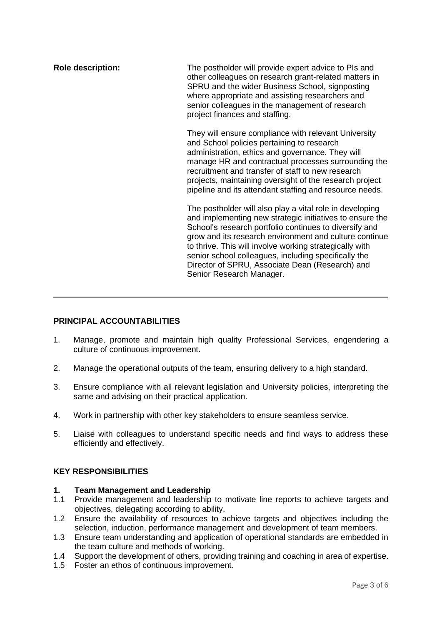**Role description:** The postholder will provide expert advice to PIs and other colleagues on research grant-related matters in SPRU and the wider Business School, signposting where appropriate and assisting researchers and senior colleagues in the management of research project finances and staffing. They will ensure compliance with relevant University and School policies pertaining to research administration, ethics and governance. They will manage HR and contractual processes surrounding the recruitment and transfer of staff to new research projects, maintaining oversight of the research project pipeline and its attendant staffing and resource needs. The postholder will also play a vital role in developing and implementing new strategic initiatives to ensure the School's research portfolio continues to diversify and grow and its research environment and culture continue to thrive. This will involve working strategically with senior school colleagues, including specifically the Director of SPRU, Associate Dean (Research) and Senior Research Manager.

# **PRINCIPAL ACCOUNTABILITIES**

- 1. Manage, promote and maintain high quality Professional Services, engendering a culture of continuous improvement.
- 2. Manage the operational outputs of the team, ensuring delivery to a high standard.
- 3. Ensure compliance with all relevant legislation and University policies, interpreting the same and advising on their practical application.
- 4. Work in partnership with other key stakeholders to ensure seamless service.
- 5. Liaise with colleagues to understand specific needs and find ways to address these efficiently and effectively.

# **KEY RESPONSIBILITIES**

#### **1. Team Management and Leadership**

- 1.1 Provide management and leadership to motivate line reports to achieve targets and objectives, delegating according to ability.
- 1.2 Ensure the availability of resources to achieve targets and objectives including the selection, induction, performance management and development of team members.
- 1.3 Ensure team understanding and application of operational standards are embedded in the team culture and methods of working.
- 1.4 Support the development of others, providing training and coaching in area of expertise.
- 1.5 Foster an ethos of continuous improvement.

 $\overline{\phantom{a}}$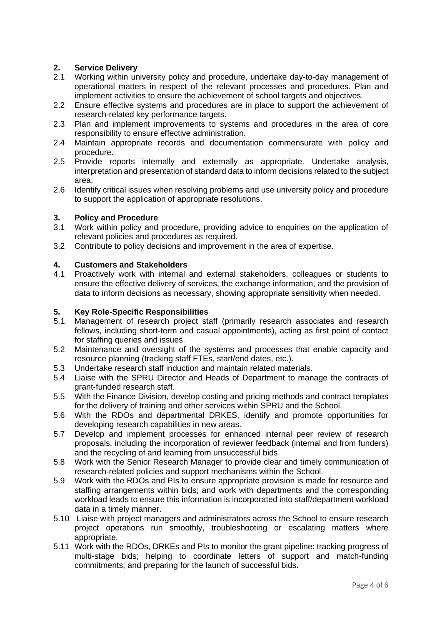# **2. Service Delivery**

- 2.1 Working within university policy and procedure, undertake day-to-day management of operational matters in respect of the relevant processes and procedures. Plan and implement activities to ensure the achievement of school targets and objectives.
- 2.2 Ensure effective systems and procedures are in place to support the achievement of research-related key performance targets.
- 2.3 Plan and implement improvements to systems and procedures in the area of core responsibility to ensure effective administration.
- 2.4 Maintain appropriate records and documentation commensurate with policy and procedure.
- 2.5 Provide reports internally and externally as appropriate. Undertake analysis, interpretation and presentation of standard data to inform decisions related to the subject area.
- 2.6 Identify critical issues when resolving problems and use university policy and procedure to support the application of appropriate resolutions.

## **3. Policy and Procedure**

- 3.1 Work within policy and procedure, providing advice to enquiries on the application of relevant policies and procedures as required.
- 3.2 Contribute to policy decisions and improvement in the area of expertise.

## **4. Customers and Stakeholders**

4.1 Proactively work with internal and external stakeholders, colleagues or students to ensure the effective delivery of services, the exchange information, and the provision of data to inform decisions as necessary, showing appropriate sensitivity when needed.

# **5. Key Role-Specific Responsibilities**

- Management of research project staff (primarily research associates and research fellows, including short-term and casual appointments), acting as first point of contact for staffing queries and issues.
- 5.2 Maintenance and oversight of the systems and processes that enable capacity and resource planning (tracking staff FTEs, start/end dates, etc.).
- 5.3 Undertake research staff induction and maintain related materials.
- 5.4 Liaise with the SPRU Director and Heads of Department to manage the contracts of grant-funded research staff.
- 5.5 With the Finance Division, develop costing and pricing methods and contract templates for the delivery of training and other services within SPRU and the School.
- 5.6 With the RDOs and departmental DRKES, identify and promote opportunities for developing research capabilities in new areas.
- 5.7 Develop and implement processes for enhanced internal peer review of research proposals, including the incorporation of reviewer feedback (internal and from funders) and the recycling of and learning from unsuccessful bids.
- 5.8 Work with the Senior Research Manager to provide clear and timely communication of research-related policies and support mechanisms within the School.
- 5.9 Work with the RDOs and PIs to ensure appropriate provision is made for resource and staffing arrangements within bids; and work with departments and the corresponding workload leads to ensure this information is incorporated into staff/department workload data in a timely manner.
- 5.10 Liaise with project managers and administrators across the School to ensure research project operations run smoothly, troubleshooting or escalating matters where appropriate.
- 5.11 Work with the RDOs, DRKEs and PIs to monitor the grant pipeline: tracking progress of multi-stage bids; helping to coordinate letters of support and match-funding commitments; and preparing for the launch of successful bids.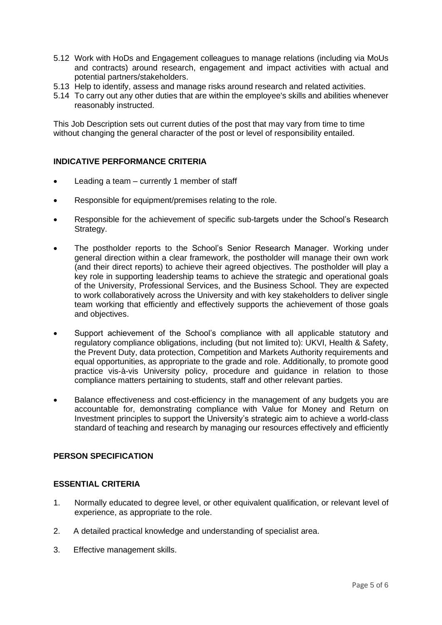- 5.12 Work with HoDs and Engagement colleagues to manage relations (including via MoUs and contracts) around research, engagement and impact activities with actual and potential partners/stakeholders.
- 5.13 Help to identify, assess and manage risks around research and related activities.
- 5.14 To carry out any other duties that are within the employee's skills and abilities whenever reasonably instructed.

This Job Description sets out current duties of the post that may vary from time to time without changing the general character of the post or level of responsibility entailed.

# **INDICATIVE PERFORMANCE CRITERIA**

- Leading a team currently 1 member of staff
- Responsible for equipment/premises relating to the role.
- Responsible for the achievement of specific sub-targets under the School's Research Strategy.
- The postholder reports to the School's Senior Research Manager. Working under general direction within a clear framework, the postholder will manage their own work (and their direct reports) to achieve their agreed objectives. The postholder will play a key role in supporting leadership teams to achieve the strategic and operational goals of the University, Professional Services, and the Business School. They are expected to work collaboratively across the University and with key stakeholders to deliver single team working that efficiently and effectively supports the achievement of those goals and objectives.
- Support achievement of the School's compliance with all applicable statutory and regulatory compliance obligations, including (but not limited to): UKVI, Health & Safety, the Prevent Duty, data protection, Competition and Markets Authority requirements and equal opportunities, as appropriate to the grade and role. Additionally, to promote good practice vis-à-vis University policy, procedure and guidance in relation to those compliance matters pertaining to students, staff and other relevant parties.
- Balance effectiveness and cost-efficiency in the management of any budgets you are accountable for, demonstrating compliance with Value for Money and Return on Investment principles to support the University's strategic aim to achieve a world-class standard of teaching and research by managing our resources effectively and efficiently

#### **PERSON SPECIFICATION**

#### **ESSENTIAL CRITERIA**

- 1. Normally educated to degree level, or other equivalent qualification, or relevant level of experience, as appropriate to the role.
- 2. A detailed practical knowledge and understanding of specialist area.
- 3. Effective management skills.